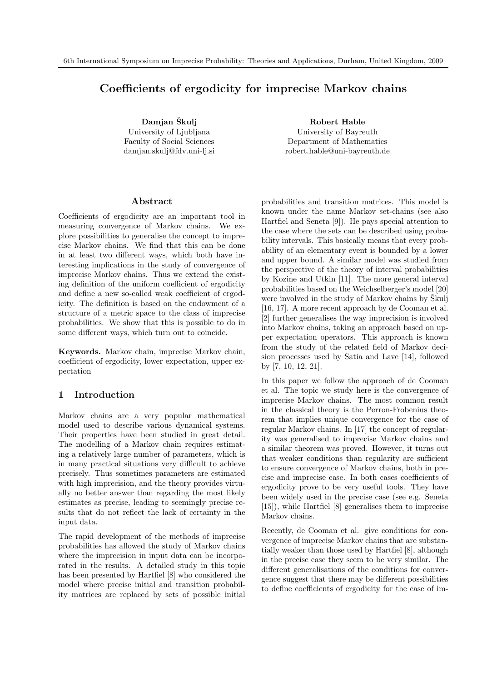# Coefficients of ergodicity for imprecise Markov chains

Damjan Škulj University of Ljubljana Faculty of Social Sciences damjan.skulj@fdv.uni-lj.si

Robert Hable University of Bayreuth Department of Mathematics robert.hable@uni-bayreuth.de

### Abstract

Coefficients of ergodicity are an important tool in measuring convergence of Markov chains. We explore possibilities to generalise the concept to imprecise Markov chains. We find that this can be done in at least two different ways, which both have interesting implications in the study of convergence of imprecise Markov chains. Thus we extend the existing definition of the uniform coefficient of ergodicity and define a new so-called weak coefficient of ergodicity. The definition is based on the endowment of a structure of a metric space to the class of imprecise probabilities. We show that this is possible to do in some different ways, which turn out to coincide.

Keywords. Markov chain, imprecise Markov chain, coefficient of ergodicity, lower expectation, upper expectation

### 1 Introduction

Markov chains are a very popular mathematical model used to describe various dynamical systems. Their properties have been studied in great detail. The modelling of a Markov chain requires estimating a relatively large number of parameters, which is in many practical situations very difficult to achieve precisely. Thus sometimes parameters are estimated with high imprecision, and the theory provides virtually no better answer than regarding the most likely estimates as precise, leading to seemingly precise results that do not reflect the lack of certainty in the input data.

The rapid development of the methods of imprecise probabilities has allowed the study of Markov chains where the imprecision in input data can be incorporated in the results. A detailed study in this topic has been presented by Hartfiel [8] who considered the model where precise initial and transition probability matrices are replaced by sets of possible initial

probabilities and transition matrices. This model is known under the name Markov set-chains (see also Hartfiel and Seneta [9]). He pays special attention to the case where the sets can be described using probability intervals. This basically means that every probability of an elementary event is bounded by a lower and upper bound. A similar model was studied from the perspective of the theory of interval probabilities by Kozine and Utkin [11]. The more general interval probabilities based on the Weichselberger's model [20] were involved in the study of Markov chains by Skulj [16, 17]. A more recent approach by de Cooman et al. [2] further generalises the way imprecision is involved into Markov chains, taking an approach based on upper expectation operators. This approach is known from the study of the related field of Markov decision processes used by Satia and Lave [14], followed by [7, 10, 12, 21].

In this paper we follow the approach of de Cooman et al. The topic we study here is the convergence of imprecise Markov chains. The most common result in the classical theory is the Perron-Frobenius theorem that implies unique convergence for the case of regular Markov chains. In [17] the concept of regularity was generalised to imprecise Markov chains and a similar theorem was proved. However, it turns out that weaker conditions than regularity are sufficient to ensure convergence of Markov chains, both in precise and imprecise case. In both cases coefficients of ergodicity prove to be very useful tools. They have been widely used in the precise case (see e.g. Seneta [15]), while Hartfiel [8] generalises them to imprecise Markov chains.

Recently, de Cooman et al. give conditions for convergence of imprecise Markov chains that are substantially weaker than those used by Hartfiel [8], although in the precise case they seem to be very similar. The different generalisations of the conditions for convergence suggest that there may be different possibilities to define coefficients of ergodicity for the case of im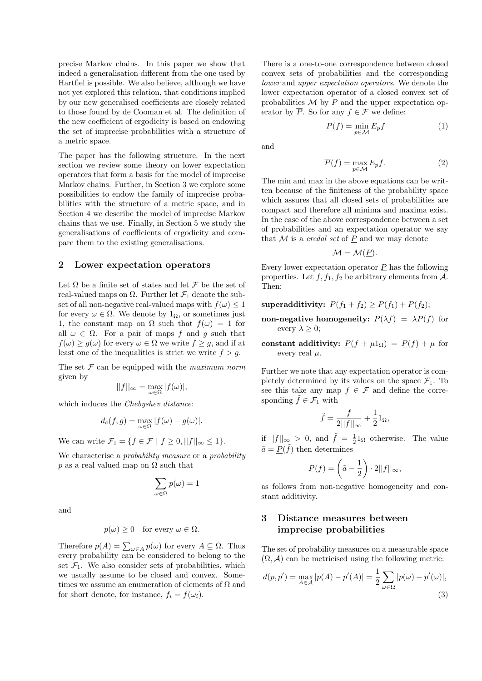precise Markov chains. In this paper we show that indeed a generalisation different from the one used by Hartfiel is possible. We also believe, although we have not yet explored this relation, that conditions implied by our new generalised coefficients are closely related to those found by de Cooman et al. The definition of the new coefficient of ergodicity is based on endowing the set of imprecise probabilities with a structure of a metric space.

The paper has the following structure. In the next section we review some theory on lower expectation operators that form a basis for the model of imprecise Markov chains. Further, in Section 3 we explore some possibilities to endow the family of imprecise probabilities with the structure of a metric space, and in Section 4 we describe the model of imprecise Markov chains that we use. Finally, in Section 5 we study the generalisations of coefficients of ergodicity and compare them to the existing generalisations.

#### 2 Lower expectation operators

Let  $\Omega$  be a finite set of states and let  $\mathcal F$  be the set of real-valued maps on Ω. Further let  $\mathcal{F}_1$  denote the subset of all non-negative real-valued maps with  $f(\omega) \leq 1$ for every  $\omega \in \Omega$ . We denote by  $1_{\Omega}$ , or sometimes just 1, the constant map on  $\Omega$  such that  $f(\omega) = 1$  for all  $\omega \in \Omega$ . For a pair of maps f and q such that  $f(\omega) \ge g(\omega)$  for every  $\omega \in \Omega$  we write  $f \ge g$ , and if at least one of the inequalities is strict we write  $f > g$ .

The set  $\mathcal F$  can be equipped with the maximum norm given by

$$
||f||_{\infty} = \max_{\omega \in \Omega} |f(\omega)|,
$$

which induces the *Chebyshev distance*:

$$
d_c(f,g) = \max_{\omega \in \Omega} |f(\omega) - g(\omega)|.
$$

We can write  $\mathcal{F}_1 = \{f \in \mathcal{F} \mid f \geq 0, ||f||_{\infty} \leq 1\}.$ 

We characterise a *probability measure* or a *probability* p as a real valued map on  $\Omega$  such that

$$
\sum_{\omega \in \Omega} p(\omega) = 1
$$

and

$$
p(\omega) \ge 0 \quad \text{for every } \omega \in \Omega.
$$

Therefore  $p(A) = \sum_{\omega \in A} p(\omega)$  for every  $A \subseteq \Omega$ . Thus every probability can be considered to belong to the set  $\mathcal{F}_1$ . We also consider sets of probabilities, which we usually assume to be closed and convex. Sometimes we assume an enumeration of elements of  $\Omega$  and for short denote, for instance,  $f_i = f(\omega_i)$ .

There is a one-to-one correspondence between closed convex sets of probabilities and the corresponding lower and upper expectation operators. We denote the lower expectation operator of a closed convex set of probabilities  $M$  by  $P$  and the upper expectation operator by  $\overline{P}$ . So for any  $f \in \mathcal{F}$  we define:

$$
\underline{P}(f) = \min_{p \in \mathcal{M}} E_p f \tag{1}
$$

and

$$
\overline{P}(f) = \max_{p \in \mathcal{M}} E_p f.
$$
 (2)

The min and max in the above equations can be written because of the finiteness of the probability space which assures that all closed sets of probabilities are compact and therefore all minima and maxima exist. In the case of the above correspondence between a set of probabilities and an expectation operator we say that  $M$  is a *credal set* of  $P$  and we may denote

$$
\mathcal{M} = \mathcal{M}(\underline{P}).
$$

Every lower expectation operator  $\underline{P}$  has the following properties. Let  $f, f_1, f_2$  be arbitrary elements from  $\mathcal{A}$ . Then:

superadditivity:  $P(f_1 + f_2) \geq P(f_1) + P(f_2);$ 

- non-negative homogeneity:  $P(\lambda f) = \lambda P(f)$  for every  $\lambda \geq 0$ ;
- constant additivity:  $P(f + \mu 1_{\Omega}) = P(f) + \mu$  for every real  $\mu$ .

Further we note that any expectation operator is completely determined by its values on the space  $\mathcal{F}_1$ . To see this take any map  $f \in \mathcal{F}$  and define the corresponding  $\tilde{f} \in \mathcal{F}_1$  with

$$
\tilde{f} = \frac{f}{2||f||_{\infty}} + \frac{1}{2}1_{\Omega},
$$

if  $||f||_{\infty} > 0$ , and  $\tilde{f} = \frac{1}{2} \mathbb{1}_{\Omega}$  otherwise. The value  $\tilde{a} = \underline{P}(\tilde{f})$  then determines

$$
\underline{P}(f) = \left(\tilde{a} - \frac{1}{2}\right) \cdot 2||f||_{\infty},
$$

as follows from non-negative homogeneity and constant additivity.

## 3 Distance measures between imprecise probabilities

The set of probability measures on a measurable space  $(\Omega, \mathcal{A})$  can be metricised using the following metric:

$$
d(p, p') = \max_{A \in \mathcal{A}} |p(A) - p'(A)| = \frac{1}{2} \sum_{\omega \in \Omega} |p(\omega) - p'(\omega)|,
$$
\n(3)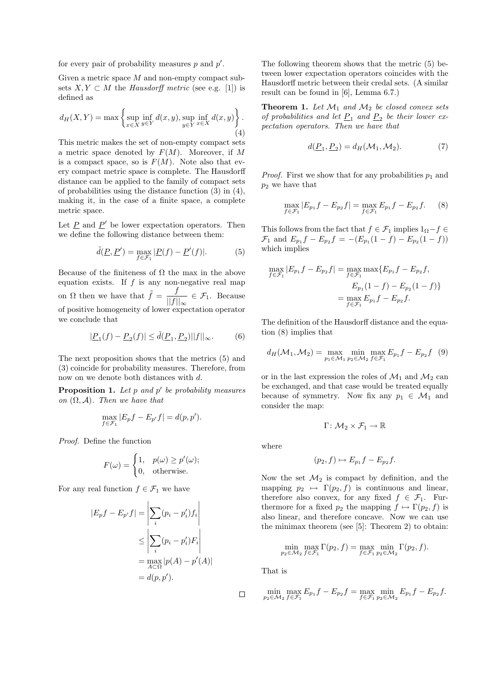for every pair of probability measures  $p$  and  $p'$ .

Given a metric space M and non-empty compact subsets  $X, Y \subset M$  the Hausdorff metric (see e.g. [1]) is defined as

$$
d_H(X, Y) = \max \left\{ \sup_{x \in X} \inf_{y \in Y} d(x, y), \sup_{y \in Y} \inf_{x \in X} d(x, y) \right\}.
$$
\n(4)

This metric makes the set of non-empty compact sets a metric space denoted by  $F(M)$ . Moreover, if M is a compact space, so is  $F(M)$ . Note also that every compact metric space is complete. The Hausdorff distance can be applied to the family of compact sets of probabilities using the distance function (3) in (4), making it, in the case of a finite space, a complete metric space.

Let  $\underline{P}$  and  $\underline{P}'$  be lower expectation operators. Then we define the following distance between them:

$$
\tilde{d}(\underline{P}, \underline{P}') = \max_{f \in \mathcal{F}_1} |\underline{P}(f) - \underline{P}'(f)|. \tag{5}
$$

Because of the finiteness of  $\Omega$  the max in the above equation exists. If  $f$  is any non-negative real map on  $\Omega$  then we have that  $\tilde{f} = \frac{f}{\ln c}$  $\frac{f}{||f||_{\infty}} \in \mathcal{F}_1$ . Because of positive homogeneity of lower expectation operator we conclude that

$$
|\underline{P}_1(f) - \underline{P}_2(f)| \le \tilde{d}(\underline{P}_1, \underline{P}_2) ||f||_{\infty}.
$$
 (6)

The next proposition shows that the metrics (5) and (3) coincide for probability measures. Therefore, from now on we denote both distances with d.

**Proposition 1.** Let  $p$  and  $p'$  be probability measures on  $(\Omega, \mathcal{A})$ . Then we have that

$$
\max_{f \in \mathcal{F}_1} |E_p f - E_{p'} f| = d(p, p').
$$

Proof. Define the function

$$
F(\omega) = \begin{cases} 1, & p(\omega) \ge p'(\omega); \\ 0, & \text{otherwise.} \end{cases}
$$

For any real function  $f \in \mathcal{F}_1$  we have

$$
|E_p f - E_{p'} f| = \left| \sum_i (p_i - p'_i) f_i \right|
$$
  
\n
$$
\leq \left| \sum_i (p_i - p'_i) F_i \right|
$$
  
\n
$$
= \max_{A \subset \Omega} |p(A) - p'(A)|
$$
  
\n
$$
= d(p, p').
$$

The following theorem shows that the metric (5) between lower expectation operators coincides with the Hausdorff metric between their credal sets. (A similar result can be found in [6], Lemma 6.7.)

**Theorem 1.** Let  $\mathcal{M}_1$  and  $\mathcal{M}_2$  be closed convex sets of probabilities and let  $\underline{P}_1$  and  $\underline{P}_2$  be their lower expectation operators. Then we have that

$$
d(\underline{P}_1, \underline{P}_2) = d_H(\mathcal{M}_1, \mathcal{M}_2). \tag{7}
$$

*Proof.* First we show that for any probabilities  $p_1$  and  $p_2$  we have that

$$
\max_{f \in \mathcal{F}_1} |E_{p_1} f - E_{p_2} f| = \max_{f \in \mathcal{F}_1} E_{p_1} f - E_{p_2} f. \tag{8}
$$

This follows from the fact that  $f \in \mathcal{F}_1$  implies  $1_{\Omega} - f \in$  $\mathcal{F}_1$  and  $E_{p_1}f - E_{p_2}f = -(E_{p_1}(1-f) - E_{p_2}(1-f))$ which implies

$$
\max_{f \in \mathcal{F}_1} |E_{p_1} f - E_{p_2} f| = \max_{f \in \mathcal{F}_1} \max\{E_{p_1} f - E_{p_2} f,
$$
  

$$
E_{p_1} (1 - f) - E_{p_2} (1 - f)\}
$$
  

$$
= \max_{f \in \mathcal{F}_1} E_{p_1} f - E_{p_2} f.
$$

The definition of the Hausdorff distance and the equation (8) implies that

$$
d_H(\mathcal{M}_1, \mathcal{M}_2) = \max_{p_1 \in \mathcal{M}_1} \min_{p_2 \in \mathcal{M}_2} \max_{f \in \mathcal{F}_1} E_{p_1} f - E_{p_2} f \quad (9)
$$

or in the last expression the roles of  $\mathcal{M}_1$  and  $\mathcal{M}_2$  can be exchanged, and that case would be treated equally because of symmetry. Now fix any  $p_1 \in \mathcal{M}_1$  and consider the map:

$$
\Gamma\colon\mathcal{M}_2\times\mathcal{F}_1\to\mathbb{R}
$$

where

$$
(p_2, f) \mapsto E_{p_1}f - E_{p_2}f.
$$

Now the set  $\mathcal{M}_2$  is compact by definition, and the mapping  $p_2 \mapsto \Gamma(p_2, f)$  is continuous and linear, therefore also convex, for any fixed  $f \in \mathcal{F}_1$ . Furthermore for a fixed  $p_2$  the mapping  $f \mapsto \Gamma(p_2, f)$  is also linear, and therefore concave. Now we can use the minimax theorem (see [5]: Theorem 2) to obtain:

$$
\min_{p_2 \in \mathcal{M}_2} \max_{f \in \mathcal{F}_1} \Gamma(p_2, f) = \max_{f \in \mathcal{F}_1} \min_{p_2 \in \mathcal{M}_2} \Gamma(p_2, f).
$$

That is

$$
\min_{p_2 \in \mathcal{M}_2} \max_{f \in \mathcal{F}_1} E_{p_1} f - E_{p_2} f = \max_{f \in \mathcal{F}_1} \min_{p_2 \in \mathcal{M}_2} E_{p_1} f - E_{p_2} f.
$$

 $\Box$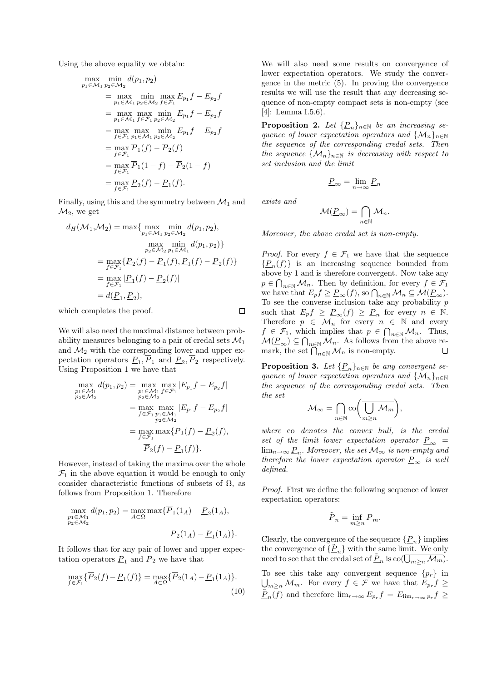Using the above equality we obtain:

$$
\max_{p_1 \in \mathcal{M}_1} \min_{p_2 \in \mathcal{M}_2} d(p_1, p_2)
$$
\n
$$
= \max_{p_1 \in \mathcal{M}_1} \min_{p_2 \in \mathcal{M}_2} f \sum_{f \in \mathcal{F}_1} f - E_{p_2} f
$$
\n
$$
= \max_{p_1 \in \mathcal{M}_1} \max_{f \in \mathcal{F}_1} \min_{p_2 \in \mathcal{M}_2} E_{p_1} f - E_{p_2} f
$$
\n
$$
= \max_{f \in \mathcal{F}_1} \max_{p_1 \in \mathcal{M}_1} \min_{p_2 \in \mathcal{M}_2} E_{p_1} f - E_{p_2} f
$$
\n
$$
= \max_{f \in \mathcal{F}_1} \overline{P}_1(f) - \overline{P}_2(f)
$$
\n
$$
= \max_{f \in \mathcal{F}_1} \overline{P}_1(1 - f) - \overline{P}_2(1 - f)
$$
\n
$$
= \max_{f \in \mathcal{F}_1} \underline{P}_2(f) - \underline{P}_1(f).
$$

Finally, using this and the symmetry between  $\mathcal{M}_1$  and  $\mathcal{M}_2$ , we get

$$
d_H(\mathcal{M}_1, \mathcal{M}_2) = \max\{ \max_{p_1 \in \mathcal{M}_1} \min_{p_2 \in \mathcal{M}_2} d(p_1, p_2),
$$
  

$$
\max_{p_2 \in \mathcal{M}_2} \min_{p_1 \in \mathcal{M}_1} d(p_1, p_2) \}
$$
  

$$
= \max_{f \in \mathcal{F}_1} \{ \underline{P}_2(f) - \underline{P}_1(f), \underline{P}_1(f) - \underline{P}_2(f) \}
$$
  

$$
= \max_{f \in \mathcal{F}_1} |\underline{P}_1(f) - \underline{P}_2(f)|
$$
  

$$
= d(\underline{P}_1, \underline{P}_2),
$$

which completes the proof.

We will also need the maximal distance between probability measures belonging to a pair of credal sets  $\mathcal{M}_1$ and  $\mathcal{M}_2$  with the corresponding lower and upper expectation operators  $\underline{P}_1, P_1$  and  $\underline{P}_2, P_2$  respectively. Using Proposition 1 we have that

$$
\max_{p_1 \in \mathcal{M}_1} d(p_1, p_2) = \max_{p_1 \in \mathcal{M}_1} \max_{f \in \mathcal{F}_1} |E_{p_1} f - E_{p_2} f|
$$
  
\n
$$
= \max_{p_2 \in \mathcal{M}_2} \max_{p_2 \in \mathcal{M}_2} |E_{p_1} f - E_{p_2} f|
$$
  
\n
$$
= \max_{f \in \mathcal{F}_1} \max_{p_2 \in \mathcal{M}_2} \{ \overline{P}_1(f) - \underline{P}_2(f),
$$
  
\n
$$
= \overline{P}_2(f) - \underline{P}_1(f) \}.
$$

However, instead of taking the maxima over the whole  $\mathcal{F}_1$  in the above equation it would be enough to only consider characteristic functions of subsets of  $\Omega$ , as follows from Proposition 1. Therefore

$$
\max_{p_1 \in \mathcal{M}_1} d(p_1, p_2) = \max_{A \subset \Omega} \max \{ \overline{P}_1(1_A) - \underline{P}_2(1_A),
$$
  

$$
\overline{P}_2(1_A) - \underline{P}_1(1_A) \}.
$$

It follows that for any pair of lower and upper expectation operators  $\underline{P}_1$  and  $\overline{P}_2$  we have that

$$
\max_{f \in \mathcal{F}_1} \{ \overline{P}_2(f) - \underline{P}_1(f) \} = \max_{A \subset \Omega} \{ \overline{P}_2(1_A) - \underline{P}_1(1_A) \}.
$$
\n(10)

We will also need some results on convergence of lower expectation operators. We study the convergence in the metric (5). In proving the convergence results we will use the result that any decreasing sequence of non-empty compact sets is non-empty (see [4]: Lemma I.5.6).

**Proposition 2.** Let  $\{\underline{P}_n\}_{n\in\mathbb{N}}$  be an increasing sequence of lower expectation operators and  $\{M_n\}_{n\in\mathbb{N}}$ the sequence of the corresponding credal sets. Then the sequence  $\{M_n\}_{n\in\mathbb{N}}$  is decreasing with respect to set inclusion and the limit

exists and

 $\Box$ 

$$
\mathcal{M}(\underline{P}_{\infty}) = \bigcap_{n \in \mathbb{N}} \mathcal{M}_n.
$$

 $\underline{P}_{\infty} = \lim_{n \to \infty} \underline{P}_n$ 

Moreover, the above credal set is non-empty.

*Proof.* For every  $f \in \mathcal{F}_1$  we have that the sequence  $\{\underline{P}_n(f)\}\$ is an increasing sequence bounded from above by 1 and is therefore convergent. Now take any  $p \in \bigcap_{n \in \mathbb{N}} \mathcal{M}_n$ . Then by definition, for every  $f \in \mathcal{F}_1$ we have that  $E_p f \geq \underline{P}_{\infty}(f)$ , so  $\bigcap_{n \in \mathbb{N}} \mathcal{M}_n \subseteq \mathcal{M}(\underline{P}_{\infty})$ . To see the converse inclusion take any probability  $p$ such that  $E_p f \geq \underline{P}_{\infty}(f) \geq \underline{P}_n$  for every  $n \in \mathbb{N}$ . Therefore  $p \in \mathcal{M}_n$  for every  $n \in \mathbb{N}$  and every  $f \in \mathcal{F}_1$ , which implies that  $p \in \bigcap_{n \in \mathbb{N}} \mathcal{M}_n$ . Thus,  $\mathcal{M}(\underline{P}_{\infty}) \subseteq \bigcap_{n \in \mathbb{N}} \mathcal{M}_n$ . As follows from the above remark, the set  $\bigcap_{n\in\mathbb{N}}\mathcal{M}_n$  is non-empty.  $\Box$ 

**Proposition 3.** Let  $\{\underline{P}_n\}_{n\in\mathbb{N}}$  be any convergent sequence of lower expectation operators and  $\{M_n\}_{n\in\mathbb{N}}$ the sequence of the corresponding credal sets. Then the set

$$
\mathcal{M}_{\infty} = \bigcap_{n \in \mathbb{N}} \operatorname{co} \left( \overline{\bigcup_{m \geq n} \mathcal{M}_m} \right),
$$

where co denotes the convex hull, is the credal set of the limit lower expectation operator  $P_{\infty}$  =  $\lim_{n\to\infty}\underline{P}_n$ . Moreover, the set  $\mathcal{M}_{\infty}$  is non-empty and therefore the lower expectation operator  $P_{\infty}$  is well defined.

Proof. First we define the following sequence of lower expectation operators:

$$
\underline{\tilde{P}}_n = \inf_{m \ge n} \underline{P}_m.
$$

Clearly, the convergence of the sequence  $\{\underline{P}_n\}$  implies the convergence of  $\{\underline{\tilde{P}}_n\}$  with the same limit. We only need to see that the credal set of  $\underline{\tilde{P}}_n$  is  $\text{co}(\overline{\bigcup_{m\geq n}\mathcal{M}_m})$ . To see this take any convergent sequence  $\{p_r\}$  in  $\bigcup_{m\geq n} M_m$ . For every  $f \in \mathcal{F}$  we have that  $E_{p,r} f \geq$  $\underline{\tilde{P}}_n(\overline{f})$  and therefore  $\lim_{r\to\infty} E_{p_r}f = E_{\lim_{r\to\infty}p_r}f \geq$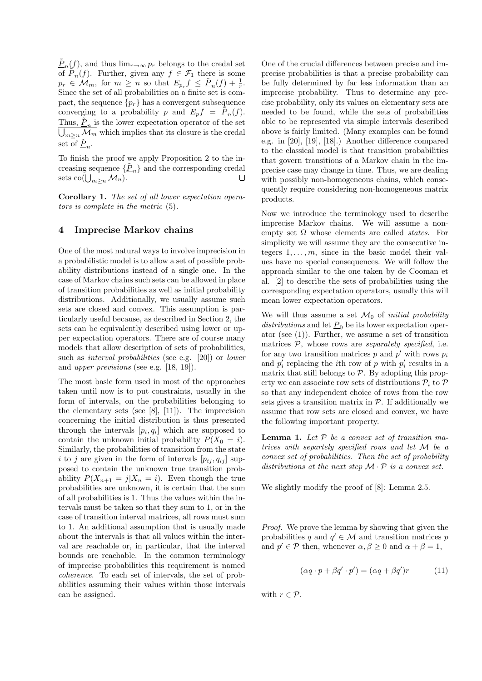$\underline{\tilde{P}}_n(f)$ , and thus  $\lim_{r\to\infty} p_r$  belongs to the credal set of  $\tilde{P}_n(f)$ . Further, given any  $f \in \mathcal{F}_1$  there is some  $p_r \in \mathcal{M}_m$ , for  $m \geq n$  so that  $E_{p_r} f \leq \underline{\tilde{P}}_n(f) + \frac{1}{r}$ . Since the set of all probabilities on a finite set is compact, the sequence  $\{p_r\}$  has a convergent subsequence converging to a probability p and  $E_p f = \frac{\tilde{P}_n(f)}{P}$ . Thus,  $\underline{\tilde{P}_n}$  is the lower expectation operator of the set  $\bigcup_{m\geq n} \mathcal{M}_m$  which implies that its closure is the credal set of  $\underline{\tilde{P}}_n$ .

To finish the proof we apply Proposition 2 to the increasing sequence  $\{\underline{\tilde{P}}_n\}$  and the corresponding credal sets co( $\bigcup_{m\geq n} M_n$ ).  $\Box$ 

Corollary 1. The set of all lower expectation operators is complete in the metric (5).

### 4 Imprecise Markov chains

One of the most natural ways to involve imprecision in a probabilistic model is to allow a set of possible probability distributions instead of a single one. In the case of Markov chains such sets can be allowed in place of transition probabilities as well as initial probability distributions. Additionally, we usually assume such sets are closed and convex. This assumption is particularly useful because, as described in Section 2, the sets can be equivalently described using lower or upper expectation operators. There are of course many models that allow description of sets of probabilities, such as *interval probabilities* (see e.g. [20]) or *lower* and upper previsions (see e.g. [18, 19]).

The most basic form used in most of the approaches taken until now is to put constraints, usually in the form of intervals, on the probabilities belonging to the elementary sets (see [8], [11]). The imprecision concerning the initial distribution is thus presented through the intervals  $[p_i, q_i]$  which are supposed to contain the unknown initial probability  $P(X_0 = i)$ . Similarly, the probabilities of transition from the state i to j are given in the form of intervals  $[p_{ij}, q_{ij}]$  supposed to contain the unknown true transition probability  $P(X_{n+1} = j | X_n = i)$ . Even though the true probabilities are unknown, it is certain that the sum of all probabilities is 1. Thus the values within the intervals must be taken so that they sum to 1, or in the case of transition interval matrices, all rows must sum to 1. An additional assumption that is usually made about the intervals is that all values within the interval are reachable or, in particular, that the interval bounds are reachable. In the common terminology of imprecise probabilities this requirement is named coherence. To each set of intervals, the set of probabilities assuming their values within those intervals can be assigned.

One of the crucial differences between precise and imprecise probabilities is that a precise probability can be fully determined by far less information than an imprecise probability. Thus to determine any precise probability, only its values on elementary sets are needed to be found, while the sets of probabilities able to be represented via simple intervals described above is fairly limited. (Many examples can be found e.g. in [20], [19], [18].) Another difference compared to the classical model is that transition probabilities that govern transitions of a Markov chain in the imprecise case may change in time. Thus, we are dealing with possibly non-homogeneous chains, which consequently require considering non-homogeneous matrix products.

Now we introduce the terminology used to describe imprecise Markov chains. We will assume a nonempty set  $\Omega$  whose elements are called *states*. For simplicity we will assume they are the consecutive integers  $1, \ldots, m$ , since in the basic model their values have no special consequences. We will follow the approach similar to the one taken by de Cooman et al. [2] to describe the sets of probabilities using the corresponding expectation operators, usually this will mean lower expectation operators.

We will thus assume a set  $\mathcal{M}_0$  of *initial probability* distributions and let  $\underline{P}_0$  be its lower expectation operator (see  $(1)$ ). Further, we assume a set of transition matrices  $P$ , whose rows are *separately specified*, i.e. for any two transition matrices  $p$  and  $p'$  with rows  $p_i$ and  $p'_i$  replacing the *i*<sup>th</sup> row of p with  $p'_i$  results in a matrix that still belongs to  $P$ . By adopting this property we can associate row sets of distributions  $\mathcal{P}_i$  to  $\mathcal P$ so that any independent choice of rows from the row sets gives a transition matrix in  $P$ . If additionally we assume that row sets are closed and convex, we have the following important property.

**Lemma 1.** Let  $P$  be a convex set of transition matrices with separtely specified rows and let M be a convex set of probabilities. Then the set of probability distributions at the next step  $\mathcal{M} \cdot \mathcal{P}$  is a convex set.

We slightly modify the proof of [8]: Lemma 2.5.

Proof. We prove the lemma by showing that given the probabilities q and  $q' \in \mathcal{M}$  and transition matrices p and  $p' \in \mathcal{P}$  then, whenever  $\alpha, \beta \geq 0$  and  $\alpha + \beta = 1$ ,

$$
(\alpha q \cdot p + \beta q' \cdot p') = (\alpha q + \beta q')r \tag{11}
$$

with  $r \in \mathcal{P}$ .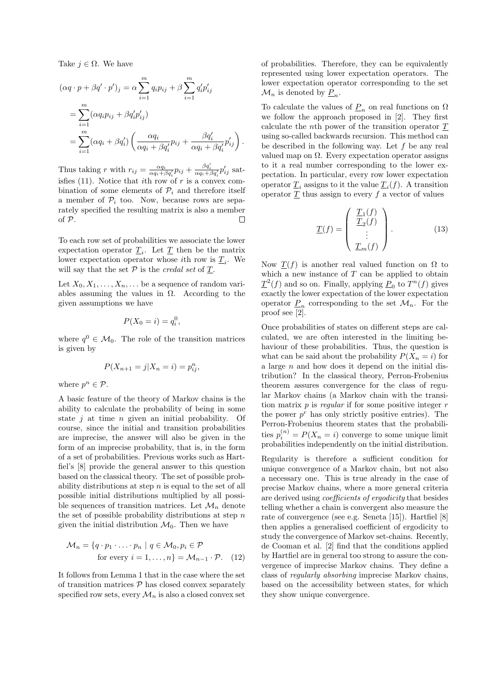Take  $j \in \Omega$ . We have

$$
(\alpha q \cdot p + \beta q' \cdot p')_j = \alpha \sum_{i=1}^m q_i p_{ij} + \beta \sum_{i=1}^m q'_i p'_{ij}
$$
  
= 
$$
\sum_{i=1}^m (\alpha q_i p_{ij} + \beta q'_i p'_{ij})
$$
  
= 
$$
\sum_{i=1}^m (\alpha q_i + \beta q'_i) \left( \frac{\alpha q_i}{\alpha q_i + \beta q'_i} p_{ij} + \frac{\beta q'_i}{\alpha q_i + \beta q'_i} p'_{ij} \right).
$$

Thus taking r with  $r_{ij} = \frac{\alpha q_i}{\alpha q_i + \beta q'_i} p_{ij} + \frac{\beta q'_i}{\alpha q_i + \beta q'_i} p'_{ij}$  satisfies (11). Notice that ith row of  $r$  is a convex combination of some elements of  $\mathcal{P}_i$  and therefore itself a member of  $\mathcal{P}_i$  too. Now, because rows are separately specified the resulting matrix is also a member of P. П

To each row set of probabilities we associate the lower expectation operator  $\underline{T}_i$ . Let  $\underline{T}$  then be the matrix lower expectation operator whose *i*th row is  $\underline{T}_i$ . We will say that the set  $P$  is the *credal set* of  $\underline{T}$ .

Let  $X_0, X_1, \ldots, X_n, \ldots$  be a sequence of random variables assuming the values in  $\Omega$ . According to the given assumptions we have

$$
P(X_0 = i) = q_i^0,
$$

where  $q^0 \in \mathcal{M}_0$ . The role of the transition matrices is given by

$$
P(X_{n+1}=j|X_n=i)=p_{ij}^n,
$$

where  $p^n \in \mathcal{P}$ .

A basic feature of the theory of Markov chains is the ability to calculate the probability of being in some state  $j$  at time  $n$  given an initial probability. Of course, since the initial and transition probabilities are imprecise, the answer will also be given in the form of an imprecise probability, that is, in the form of a set of probabilities. Previous works such as Hartfiel's [8] provide the general answer to this question based on the classical theory. The set of possible probability distributions at step  $n$  is equal to the set of all possible initial distributions multiplied by all possible sequences of transition matrices. Let  $\mathcal{M}_n$  denote the set of possible probability distributions at step  $n$ given the initial distribution  $\mathcal{M}_0$ . Then we have

$$
\mathcal{M}_n = \{q \cdot p_1 \cdot \ldots \cdot p_n \mid q \in \mathcal{M}_0, p_i \in \mathcal{P}
$$
  
for every  $i = 1, ..., n\} = \mathcal{M}_{n-1} \cdot \mathcal{P}.$  (12)

It follows from Lemma 1 that in the case where the set of transition matrices  $P$  has closed convex separately specified row sets, every  $\mathcal{M}_n$  is also a closed convex set of probabilities. Therefore, they can be equivalently represented using lower expectation operators. The lower expectation operator corresponding to the set  $\mathcal{M}_n$  is denoted by  $\underline{P}_n$ .

To calculate the values of  $\underline{P}_n$  on real functions on  $\Omega$ we follow the approach proposed in [2]. They first calculate the nth power of the transition operator T using so-called backwards recursion. This method can be described in the following way. Let  $f$  be any real valued map on  $\Omega$ . Every expectation operator assigns to it a real number corresponding to the lower expectation. In particular, every row lower expectation operator  $\underline{T}_i$  assigns to it the value  $\underline{T}_i(f)$ . A transition operator  $\underline{T}$  thus assign to every  $f$  a vector of values

$$
\underline{T}(f) = \begin{pmatrix} \underline{T}_1(f) \\ \underline{T}_2(f) \\ \vdots \\ \underline{T}_m(f) \end{pmatrix} .
$$
 (13)

Now  $T(f)$  is another real valued function on  $\Omega$  to which a new instance of  $T$  can be applied to obtain  $\underline{T}^2(f)$  and so on. Finally, applying  $\underline{P}_0$  to  $T^n(f)$  gives exactly the lower expectation of the lower expectation operator  $\underline{P}_n$  corresponding to the set  $\mathcal{M}_n$ . For the proof see [2].

Once probabilities of states on different steps are calculated, we are often interested in the limiting behaviour of these probabilities. Thus, the question is what can be said about the probability  $P(X_n = i)$  for a large  $n$  and how does it depend on the initial distribution? In the classical theory, Perron-Frobenius theorem assures convergence for the class of regular Markov chains (a Markov chain with the transition matrix  $p$  is *regular* if for some positive integer  $r$ the power  $p^r$  has only strictly positive entries). The Perron-Frobenius theorem states that the probabilities  $p_i^{(n)} = P(X_n = i)$  converge to some unique limit probabilities independently on the initial distribution.

Regularity is therefore a sufficient condition for unique convergence of a Markov chain, but not also a necessary one. This is true already in the case of precise Markov chains, where a more general criteria are derived using coefficients of ergodicity that besides telling whether a chain is convergent also measure the rate of convergence (see e.g. Seneta [15]). Hartfiel [8] then applies a generalised coefficient of ergodicity to study the convergence of Markov set-chains. Recently, de Cooman et al. [2] find that the conditions applied by Hartfiel are in general too strong to assure the convergence of imprecise Markov chains. They define a class of regularly absorbing imprecise Markov chains, based on the accessibility between states, for which they show unique convergence.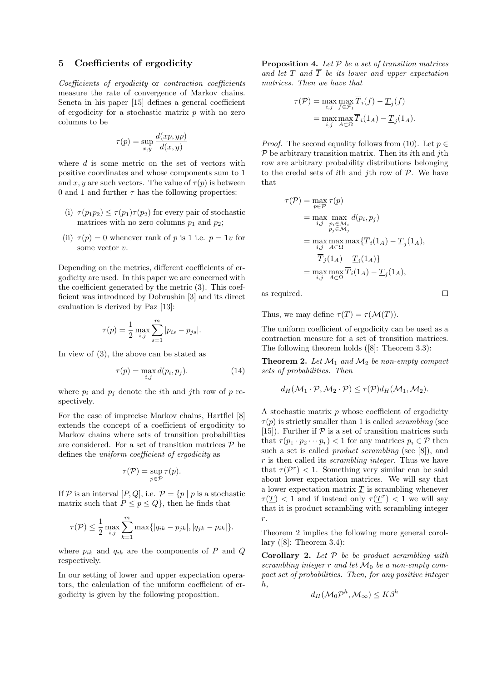### 5 Coefficients of ergodicity

Coefficients of ergodicity or contraction coefficients measure the rate of convergence of Markov chains. Seneta in his paper [15] defines a general coefficient of ergodicity for a stochastic matrix  $p$  with no zero columns to be

$$
\tau(p) = \sup_{x,y} \frac{d(xp, yp)}{d(x,y)}
$$

where d is some metric on the set of vectors with positive coordinates and whose components sum to 1 and x, y are such vectors. The value of  $\tau(p)$  is between 0 and 1 and further  $\tau$  has the following properties:

- (i)  $\tau(p_1p_2) \leq \tau(p_1)\tau(p_2)$  for every pair of stochastic matrices with no zero columns  $p_1$  and  $p_2$ ;
- (ii)  $\tau(p) = 0$  whenever rank of p is 1 i.e.  $p = 1v$  for some vector v.

Depending on the metrics, different coefficients of ergodicity are used. In this paper we are concerned with the coefficient generated by the metric (3). This coefficient was introduced by Dobrushin [3] and its direct evaluation is derived by Paz [13]:

$$
\tau(p) = \frac{1}{2} \max_{i,j} \sum_{s=1}^{m} |p_{is} - p_{js}|.
$$

In view of (3), the above can be stated as

$$
\tau(p) = \max_{i,j} d(p_i, p_j). \tag{14}
$$

where  $p_i$  and  $p_j$  denote the *i*th and *j*th row of p respectively.

For the case of imprecise Markov chains, Hartfiel [8] extends the concept of a coefficient of ergodicity to Markov chains where sets of transition probabilities are considered. For a set of transition matrices  $P$  he defines the uniform coefficient of ergodicity as

$$
\tau(\mathcal{P}) = \sup_{p \in \mathcal{P}} \tau(p).
$$

If P is an interval  $[P,Q]$ , i.e.  $P = \{p \mid p$  is a stochastic matrix such that  $P \leq p \leq Q$ , then he finds that

$$
\tau(\mathcal{P}) \leq \frac{1}{2} \max_{i,j} \sum_{k=1}^{m} \max\{|q_{ik} - p_{jk}|, |q_{jk} - p_{ik}|\}.
$$

where  $p_{ik}$  and  $q_{ik}$  are the components of P and Q respectively.

In our setting of lower and upper expectation operators, the calculation of the uniform coefficient of ergodicity is given by the following proposition.

**Proposition 4.** Let  $P$  be a set of transition matrices and let  $\underline{T}$  and  $\overline{T}$  be its lower and upper expectation matrices. Then we have that

$$
\tau(\mathcal{P}) = \max_{i,j} \max_{f \in \mathcal{F}_1} \overline{T}_i(f) - \underline{T}_j(f)
$$

$$
= \max_{i,j} \max_{A \subset \Omega} \overline{T}_i(1_A) - \underline{T}_j(1_A).
$$

*Proof.* The second equality follows from (10). Let  $p \in$  $P$  be arbitrary transition matrix. Then its *i*th and *j*th row are arbitrary probability distributions belonging to the credal sets of ith and jth row of  $P$ . We have that

$$
\tau(\mathcal{P}) = \max_{p \in \mathcal{P}} \tau(p)
$$
  
= max max max\_{i,j} d(p\_i, p\_j)  
= max max\_{p\_j \in \mathcal{M}\_i} d(p\_i, p\_j)  
= max max max\_{i,j} d\tau(\overline{T}\_i(1\_A) - \underline{T}\_j(1\_A),  
\overline{T}\_j(1\_A) - \underline{T}\_i(1\_A))  
= max max\_{i,j} \overline{T}\_i(1\_A) - \underline{T}\_j(1\_A),

as required.

Thus, we may define  $\tau(T) = \tau(\mathcal{M}(T)).$ 

The uniform coefficient of ergodicity can be used as a contraction measure for a set of transition matrices. The following theorem holds ([8]: Theorem 3.3):

**Theorem 2.** Let  $\mathcal{M}_1$  and  $\mathcal{M}_2$  be non-empty compact sets of probabilities. Then

$$
d_H(\mathcal{M}_1 \cdot \mathcal{P}, \mathcal{M}_2 \cdot \mathcal{P}) \le \tau(\mathcal{P}) d_H(\mathcal{M}_1, \mathcal{M}_2).
$$

A stochastic matrix  $p$  whose coefficient of ergodicity  $\tau(p)$  is strictly smaller than 1 is called *scrambling* (see [15]). Further if  $P$  is a set of transition matrices such that  $\tau (p_1 \cdot p_2 \cdots p_r) < 1$  for any matrices  $p_i \in \mathcal{P}$  then such a set is called *product scrambling* (see [8]), and r is then called its scrambling integer. Thus we have that  $\tau(\mathcal{P}^r) < 1$ . Something very similar can be said about lower expectation matrices. We will say that a lower expectation matrix  $\underline{T}$  is scrambling whenever  $\tau(\underline{T})$  < 1 and if instead only  $\tau(\underline{T}^r)$  < 1 we will say that it is product scrambling with scrambling integer r.

Theorem 2 implies the following more general corollary  $([8]$ : Theorem 3.4):

**Corollary 2.** Let  $P$  be be product scrambling with scrambling integer r and let  $\mathcal{M}_0$  be a non-empty compact set of probabilities. Then, for any positive integer h,

$$
d_H(\mathcal{M}_0\mathcal{P}^h, \mathcal{M}_{\infty}) \leq K\beta^h
$$

 $\Box$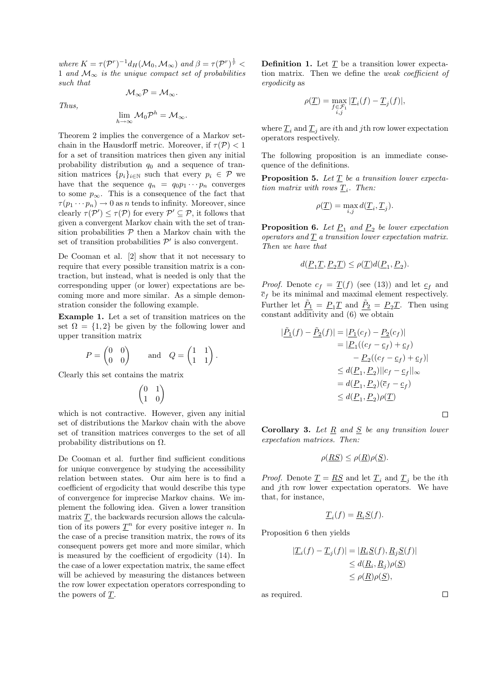where  $K = \tau(\mathcal{P}^r)^{-1} d_H(\mathcal{M}_0, \mathcal{M}_\infty)$  and  $\beta = \tau(\mathcal{P}^r)^{\frac{1}{r}}$ 1 and  $\mathcal{M}_{\infty}$  is the unique compact set of probabilities such that

$$
\mathcal{M}_{\infty}\mathcal{P}=\mathcal{M}_{\infty}.
$$

Thus,

$$
\lim_{h\to\infty} \mathcal{M}_0 \mathcal{P}^h = \mathcal{M}_\infty.
$$

Theorem 2 implies the convergence of a Markov setchain in the Hausdorff metric. Moreover, if  $\tau(\mathcal{P}) < 1$ for a set of transition matrices then given any initial probability distribution  $q_0$  and a sequence of transition matrices  $\{p_i\}_{i\in\mathbb{N}}$  such that every  $p_i \in \mathcal{P}$  we have that the sequence  $q_n = q_0 p_1 \cdots p_n$  converges to some  $p_{\infty}$ . This is a consequence of the fact that  $\tau(p_1 \cdots p_n) \to 0$  as n tends to infinity. Moreover, since clearly  $\tau(\mathcal{P}') \leq \tau(\mathcal{P})$  for every  $\mathcal{P}' \subseteq \mathcal{P}$ , it follows that given a convergent Markov chain with the set of transition probabilities  $P$  then a Markov chain with the set of transition probabilities  $\mathcal{P}'$  is also convergent.

De Cooman et al. [2] show that it not necessary to require that every possible transition matrix is a contraction, but instead, what is needed is only that the corresponding upper (or lower) expectations are becoming more and more similar. As a simple demonstration consider the following example.

Example 1. Let a set of transition matrices on the set  $\Omega = \{1, 2\}$  be given by the following lower and upper transition matrix

$$
P = \begin{pmatrix} 0 & 0 \\ 0 & 0 \end{pmatrix} \quad \text{and} \quad Q = \begin{pmatrix} 1 & 1 \\ 1 & 1 \end{pmatrix}.
$$

Clearly this set contains the matrix

$$
\begin{pmatrix} 0 & 1 \\ 1 & 0 \end{pmatrix}
$$

which is not contractive. However, given any initial set of distributions the Markov chain with the above set of transition matrices converges to the set of all probability distributions on  $\Omega$ .

De Cooman et al. further find sufficient conditions for unique convergence by studying the accessibility relation between states. Our aim here is to find a coefficient of ergodicity that would describe this type of convergence for imprecise Markov chains. We implement the following idea. Given a lower transition matrix  $T$ , the backwards recursion allows the calculation of its powers  $\underline{T}^n$  for every positive integer n. In the case of a precise transition matrix, the rows of its consequent powers get more and more similar, which is measured by the coefficient of ergodicity (14). In the case of a lower expectation matrix, the same effect will be achieved by measuring the distances between the row lower expectation operators corresponding to the powers of T.

**Definition 1.** Let  $T$  be a transition lower expectation matrix. Then we define the weak coefficient of ergodicity as

$$
\rho(\underline{T}) = \max_{\substack{f \in \mathcal{F}_1 \\ i,j}} |\underline{T}_i(f) - \underline{T}_j(f)|,
$$

where  $\underline{T}_i$  and  $\underline{T}_j$  are *i*th and *j*th row lower expectation operators respectively.

The following proposition is an immediate consequence of the definitions.

**Proposition 5.** Let  $\underline{T}$  be a transition lower expectation matrix with rows  $\underline{T}_i$ . Then:

$$
\rho(\underline{T}) = \max_{i,j} d(\underline{T}_i, \underline{T}_j).
$$

**Proposition 6.** Let  $\underline{P}_1$  and  $\underline{P}_2$  be lower expectation operators and  $T$  a transition lower expectation matrix. Then we have that

$$
d(\underline{P_1T}, \underline{P_2T}) \le \rho(\underline{T})d(\underline{P_1}, \underline{P_2}).
$$

*Proof.* Denote  $c_f = \underline{T}(f)$  (see (13)) and let  $\underline{c}_f$  and  $\overline{c}_f$  be its minimal and maximal element respectively. Further let  $\underline{\tilde{P}_1} = \underline{P_1T}$  and  $\underline{\tilde{P}_2} = \underline{P_2T}$ . Then using constant additivity and (6) we obtain

$$
\begin{aligned} |\underline{\tilde{P}_1}(f) - \underline{\tilde{P}_2}(f)| &= |\underline{P_1}(c_f) - \underline{P_2}(c_f)| \\ &= |\underline{P}_1((c_f - c_f) + c_f) \\ &- \underline{P}_2((c_f - c_f) + c_f)| \\ &\leq d(\underline{P}_1, \underline{P}_2) || c_f - c_f ||_{\infty} \\ &= d(\underline{P}_1, \underline{P}_2)(\overline{c}_f - c_f) \\ &\leq d(\underline{P}_1, \underline{P}_2)\rho(\underline{T}) \end{aligned}
$$

**Corollary 3.** Let  $R$  and  $S$  be any transition lower expectation matrices. Then:

$$
\rho(\underline{RS}) \le \rho(\underline{R})\rho(\underline{S}).
$$

*Proof.* Denote  $\underline{T} = \underline{RS}$  and let  $\underline{T}_i$  and  $\underline{T}_j$  be the *i*th and jth row lower expectation operators. We have that, for instance,

$$
\underline{T}_i(f) = \underline{R}_i \underline{S}(f).
$$

Proposition 6 then yields

$$
|\underline{T}_i(f) - \underline{T}_j(f)| = |\underline{R}_i \underline{S}(f), \underline{R}_j \underline{S}(f)|
$$
  
\n
$$
\leq d(\underline{R}_i, \underline{R}_j)\rho(\underline{S})
$$
  
\n
$$
\leq \rho(\underline{R})\rho(\underline{S}),
$$

as required.

 $\Box$ 

 $\Box$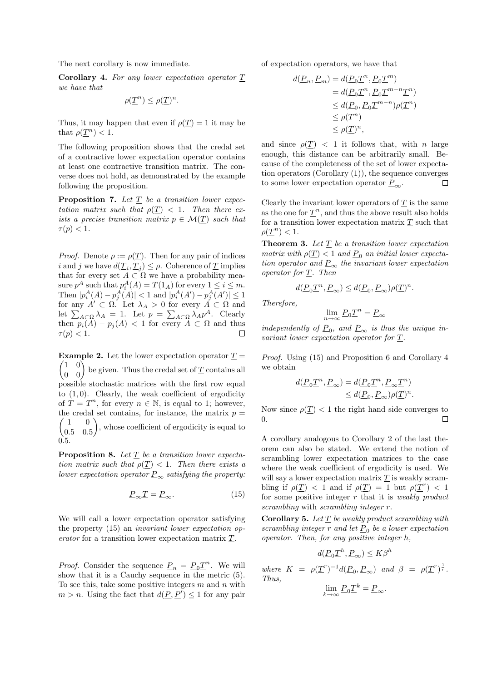The next corollary is now immediate.

Corollary 4. For any lower expectation operator T we have that

$$
\rho(\underline{T}^n) \leq \rho(\underline{T})^n.
$$

Thus, it may happen that even if  $\rho(T) = 1$  it may be that  $\rho(\underline{T}^n) < 1$ .

The following proposition shows that the credal set of a contractive lower expectation operator contains at least one contractive transition matrix. The converse does not hold, as demonstrated by the example following the proposition.

**Proposition 7.** Let  $\underline{T}$  be a transition lower expectation matrix such that  $\rho(T) < 1$ . Then there exists a precise transition matrix  $p \in \mathcal{M}(T)$  such that  $\tau(p) < 1.$ 

*Proof.* Denote  $\rho := \rho(T)$ . Then for any pair of indices *i* and *j* we have  $d(\underline{T}_i, \underline{T}_j) \le \rho$ . Coherence of  $\underline{T}$  implies that for every set  $A \subset \Omega$  we have a probability measure  $p^A$  such that  $p_i^A(A) = \underline{T}(1_A)$  for every  $1 \le i \le m$ . Then  $|p_i^A(A) - p_j^A(A)| < 1$  and  $|p_i^A(A') - p_j^A(A')| \leq 1$ for any  $A' \subset \Omega$ . Let  $\lambda_A > 0$  for every  $A \subset \Omega$  and let  $\sum_{A\subset\Omega}\lambda_A = 1$ . Let  $p = \sum_{A\subset\Omega}\lambda_A p^A$ . Clearly then  $p_i(A) - p_j(A) < 1$  for every  $A \subset \Omega$  and thus  $\tau(p) < 1.$  $\Box$ 

**Example 2.** Let the lower expectation operator  $\underline{T} =$  $\begin{pmatrix} 1 & 0 \\ 0 & 0 \end{pmatrix}$  be given. Thus the credal set of  $\underline{T}$  contains all possible stochastic matrices with the first row equal to  $(1, 0)$ . Clearly, the weak coefficient of ergodicity of  $\underline{T} = \underline{T}^n$ , for every  $n \in \mathbb{N}$ , is equal to 1; however,  $\Big(\begin{matrix} 1\\ 0.5 \end{matrix}$ the credal set contains, for instance, the matrix  $p =$ 1 0 0.5 0.5 , whose coefficient of ergodicity is equal to 0.5.

**Proposition 8.** Let  $\underline{T}$  be a transition lower expectation matrix such that  $\rho(T) < 1$ . Then there exists a lower expectation operator  $\underline{P}_{\infty}$  satisfying the property:

$$
\underline{P}_{\infty}\underline{T} = \underline{P}_{\infty}.\tag{15}
$$

We will call a lower expectation operator satisfying the property (15) an invariant lower expectation operator for a transition lower expectation matrix T.

*Proof.* Consider the sequence  $\underline{P}_n = \underline{P}_0 \underline{T}^n$ . We will show that it is a Cauchy sequence in the metric (5). To see this, take some positive integers  $m$  and  $n$  with  $m > n$ . Using the fact that  $d(\underline{P}, \underline{P}') \leq 1$  for any pair

of expectation operators, we have that

$$
d(\underline{P}_n, \underline{P}_m) = d(\underline{P}_0 \underline{T}^n, \underline{P}_0 \underline{T}^m)
$$
  
=  $d(\underline{P}_0 \underline{T}^n, \underline{P}_0 \underline{T}^{m-n} \underline{T}^n)$   
 $\leq d(\underline{P}_0, \underline{P}_0 \underline{T}^{m-n}) \rho(\underline{T}^n)$   
 $\leq \rho(\underline{T}^n)$   
 $\leq \rho(\underline{T})^n$ ,

and since  $\rho(T)$  < 1 it follows that, with *n* large enough, this distance can be arbitrarily small. Because of the completeness of the set of lower expectation operators (Corollary (1)), the sequence converges to some lower expectation operator  $P_{\infty}$ .  $\Box$ 

Clearly the invariant lower operators of  $T$  is the same as the one for  $\underline{T}^n$ , and thus the above result also holds for a transition lower expectation matrix  $T$  such that  $\rho(\underline{T}^n) < 1.$ 

**Theorem 3.** Let  $T$  be a transition lower expectation matrix with  $\rho(\underline{T}) < 1$  and  $\underline{P}_0$  an initial lower expectation operator and  $\underline{P}_{\infty}$  the invariant lower expectation operator for T. Then

$$
d(\underline{P}_0 \underline{T}^n, \underline{P}_\infty) \leq d(\underline{P}_0, \underline{P}_\infty) \rho(\underline{T})^n.
$$

Therefore,

$$
\lim_{n\to\infty}\underline{P}_0\underline{T}^n=\underline{P}_\infty
$$

independently of  $\underline{P}_0$ , and  $\underline{P}_\infty$  is thus the unique invariant lower expectation operator for T.

Proof. Using (15) and Proposition 6 and Corollary 4 we obtain

$$
d(\underline{P}_0 \underline{T}^n, \underline{P}_\infty) = d(\underline{P}_0 \underline{T}^n, \underline{P}_\infty \underline{T}^n)
$$
  

$$
\leq d(\underline{P}_0, \underline{P}_\infty) \rho(\underline{T})^n.
$$

Now since  $\rho(T)$  < 1 the right hand side converges to 0.  $\Box$ 

A corollary analogous to Corollary 2 of the last theorem can also be stated. We extend the notion of scrambling lower expectation matrices to the case where the weak coefficient of ergodicity is used. We will say a lower expectation matrix  $T$  is weakly scrambling if  $\rho(\underline{T}) < 1$  and if  $\rho(\underline{T}) = 1$  but  $\rho(\underline{T}^r) < 1$ for some positive integer  $r$  that it is *weakly product* scrambling with scrambling integer r.

**Corollary 5.** Let  $\underline{T}$  be weakly product scrambling with scrambling integer r and let  $\underline{P}_0$  be a lower expectation operator. Then, for any positive integer h,

$$
d(\underline{P_0 \underline{T}}^h, \underline{P_\infty}) \le K\beta^h
$$

where 
$$
K = \rho(\underline{T}^r)^{-1}d(\underline{P}_0, \underline{P}_\infty)
$$
 and  $\beta = \rho(\underline{T}^r)^{\frac{1}{r}}$ .  
Thus,  

$$
\lim_{n \to \infty} \underline{P}_0 \underline{T}^k = \underline{P}_\infty.
$$

 $k\rightarrow\infty$